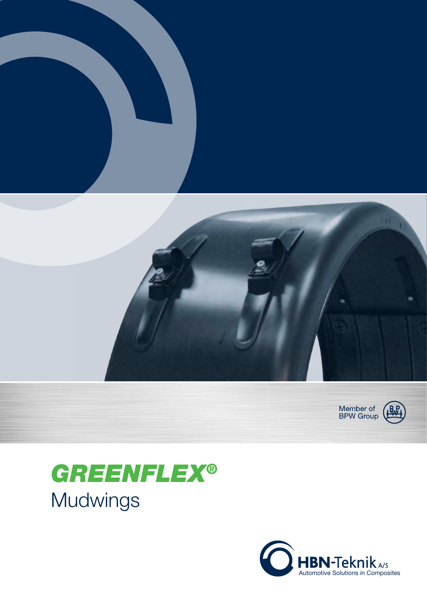



## **GREENFLEX®** Mudwings

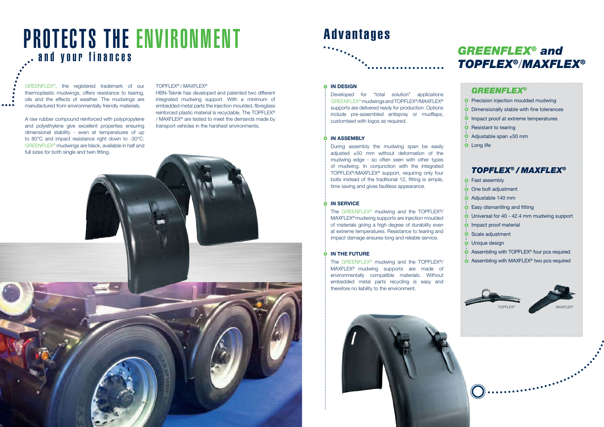A raw rubber compound reinforced with polypropylene and polyethylene give excellent properties ensuring dimensional stability - even at temperatures of up to 80°C and impact resistance right down to -30°C. GREENFLEX<sup>®</sup> mudwings are black, available in half and full sizes for both single and twin fitting.

#### TopFlex® / MAxFlex®

HBn-Teknik has developed and patented two different integrated mudwing support. With a minimum of embedded metal parts the injection moulded, fibreglass reinforced plastic material is recyclable. The TOPFLEX® / MAxFlex® are tested to meet the demands made by transport vehicles in the harshest environments.



# PROTECTS THE ENVIRONMENT and your finances

GREENFLEX®, the registered trademark of our thermoplastic mudwings, offers resistance to tearing, oils and the effects of weather. The mudwings are manufactured from environmentally friendly materials.

 $\bullet\bullet\bullet\bullet$ 

The GREENFLEX<sup>®</sup> mudwing and the TOPFLEX<sup>®</sup>/ MAxFlex® mudwing supports are injection moulded of materials giving a high degree of durability even at extreme temperatures. Resistance to tearing and impact damage ensures long and reliable service.

### O IN THE FUTURE







## Advantages

#### **O** IN DESIGN

### GREENFLEX® and TOPFLEX®/MAXFLEX®

### **GREENFLEX®**

**O** Precision injection moulded mudwing Dimensionally stable with fine tolerances <sup>O</sup> Impact proof at extreme temperatures **O** Resistant to tearing Adjustable span ±50 mm **O** Long life

The GREENFLEX<sup>®</sup> mudwing and the TOPFLEX<sup>®</sup>/ MAXFLEX<sup>®</sup> mudwing supports are made of environmentally compatible materials. Without embedded metal parts recycling is easy and therefore no liability to the environment.



Developed for "total solution" applications GreenFlex® mudwings and TopFlex®/MAxFlex® supports are delivered ready for production. Options include pre-assembled antispray or mudflaps, customised with logos as required.

### IN ASSEMBLY

**o** Fast assembly **O** One bolt adjustment Adjustable 140 mm Easy dismantling and fitting Universal for 40 - 42.4 mm mudwing support **O** Impact proof material  $\overline{\text{o}}$  Scale adjustment Unique design  $\ddot{\mathbf{O}}$ Assembling with TOPFLEX ® four pcs required Assembling with MAXFLEX ® two pcs required

During assembly the mudwing span be easily adjusted ±50 mm without deformation of the mudwing edge - so often seen with other types of mudwing. In conjunction with the integrated TOPFLEX<sup>®</sup>/MAXFLEX<sup>®</sup> support, requiring only four bolts instead of the traditional 12, fitting is simple, time saving and gives faultless appearance.

### IN SERVICE

TOPFLEX® / MAXFLEX®